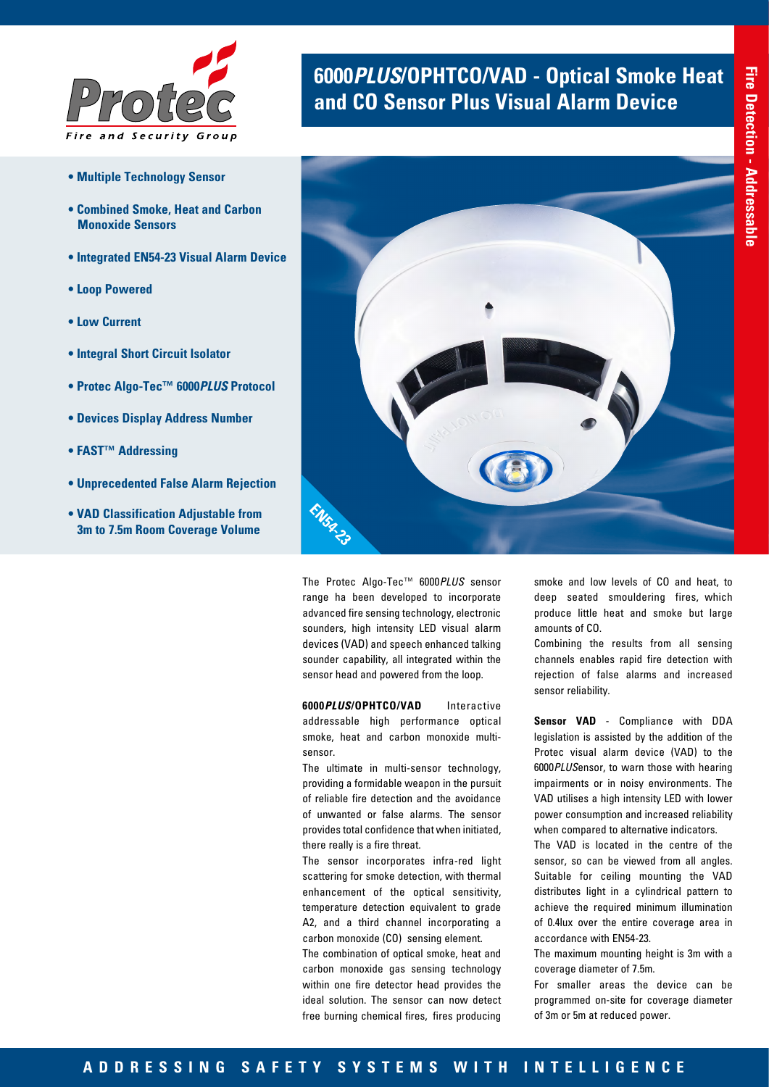

- **Multiple Technology Sensor**
- **Combined Smoke, Heat and Carbon Monoxide Sensors**
- **Integrated EN54-23 Visual Alarm Device**
- **Loop Powered**
- **Low Current**
- **Integral Short Circuit Isolator**
- **Protec Algo-Tec™ 6000***PLUS* **Protocol**
- **Devices Display Address Number**
- **FAST™ Addressing**
- **Unprecedented False Alarm Rejection**
- **VAD Classification Adjustable from 3m to 7.5m Room Coverage Volume**

## **6000***PLUS***/OPHTCO/VAD - Optical Smoke Heat and CO Sensor Plus Visual Alarm Device**



The Protec Algo-Tec™ 6000*PLUS* sensor range ha been developed to incorporate advanced fire sensing technology, electronic sounders, high intensity LED visual alarm devices (VAD) and speech enhanced talking sounder capability, all integrated within the sensor head and powered from the loop.

**6000***PLUS***/OPHTCO/VAD** Interactive addressable high performance optical smoke, heat and carbon monoxide multisensor.

The ultimate in multi-sensor technology, providing a formidable weapon in the pursuit of reliable fire detection and the avoidance of unwanted or false alarms. The sensor provides total confidence that when initiated, there really is a fire threat.

The sensor incorporates infra-red light scattering for smoke detection, with thermal enhancement of the optical sensitivity, temperature detection equivalent to grade A2, and a third channel incorporating a carbon monoxide (CO) sensing element.

The combination of optical smoke, heat and carbon monoxide gas sensing technology within one fire detector head provides the ideal solution. The sensor can now detect free burning chemical fires, fires producing

smoke and low levels of CO and heat, to deep seated smouldering fires, which produce little heat and smoke but large amounts of CO.

Combining the results from all sensing channels enables rapid fire detection with rejection of false alarms and increased sensor reliability.

**Sensor VAD** - Compliance with DDA legislation is assisted by the addition of the Protec visual alarm device (VAD) to the 6000*PLUS*ensor, to warn those with hearing impairments or in noisy environments. The VAD utilises a high intensity LED with lower power consumption and increased reliability when compared to alternative indicators.

The VAD is located in the centre of the sensor, so can be viewed from all angles. Suitable for ceiling mounting the VAD distributes light in a cylindrical pattern to achieve the required minimum illumination of 0.4lux over the entire coverage area in accordance with EN54-23.

The maximum mounting height is 3m with a coverage diameter of 7.5m.

For smaller areas the device can be programmed on-site for coverage diameter of 3m or 5m at reduced power.